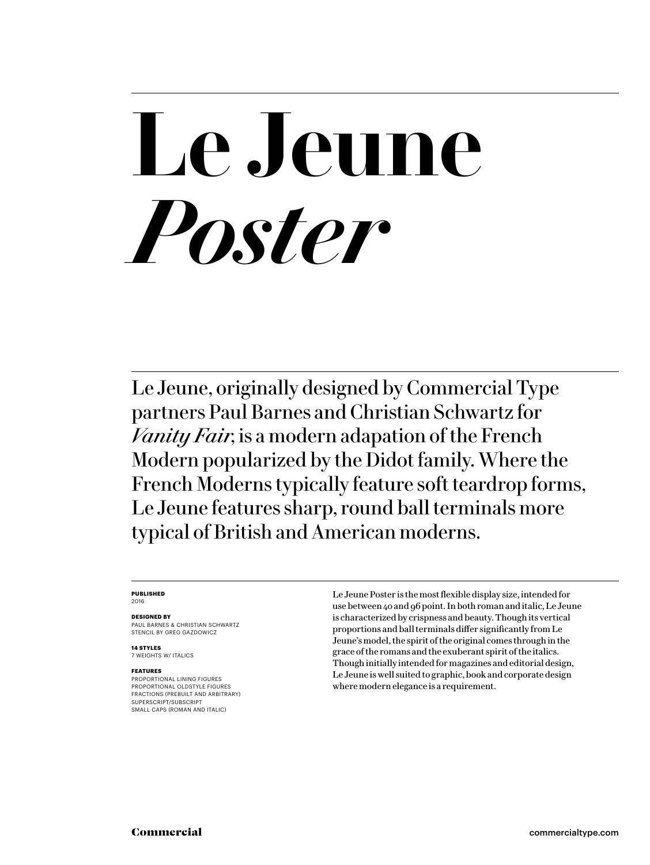# **Le Jeune** *Poster*

Le Jeune, originally designed by Commercial Type partners Paul Barnes and Christian Schwartz for *Vanity Fair*, is a modern adapation of the French Modern popularized by the Didot family. Where the French Moderns typically feature soft teardrop forms, Le Jeune features sharp, round ball terminals more typical of British and American moderns.

### **PUBLISHED**

2016

### **DESIGNED BY**

PAUL BARNES & CHRISTIAN SCHWARTZ STENCIL BY GREG GAZDOWICZ

**14 STYLES** 7 WEIGHTS W/ ITALICS

### **FEATURES**

PROPORTIONAL LINING FIGURES PROPORTIONAL OLDSTYLE FIGURES FRACTIONS (PREBUILT AND ARBITRARY) SUPERSCRIPT/SUBSCRIPT SMALL CAPS (ROMAN AND ITALIC)

Le Jeune Poster is the most flexible display size, intended for use between 40 and 96 point. In both roman and italic, Le Jeune is characterized by crispness and beauty. Though its vertical proportions and ball terminals differ significantly from Le Jeune's model, the spirit of the original comes through in the grace of the romans and the exuberant spirit of the italics. Though initially intended for magazines and editorial design, Le Jeune is well suited to graphic, book and corporate design where modern elegance is a requirement.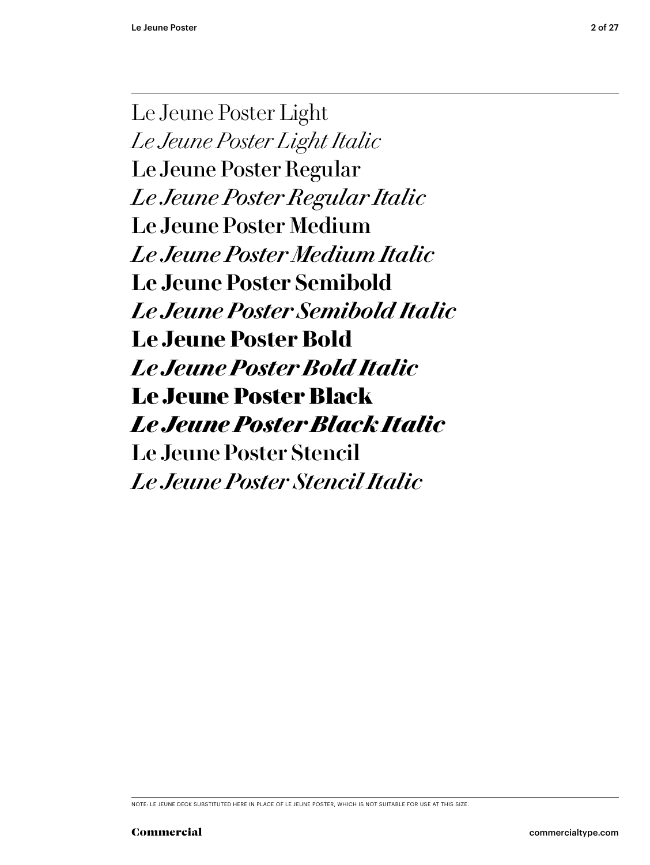Le Jeune Poster Light *Le Jeune Poster Light Italic* Le Jeune Poster Regular *Le Jeune Poster Regular Italic* Le Jeune Poster Medium *Le Jeune Poster Medium Italic* **Le Jeune Poster Semibold** *Le Jeune Poster Semibold Italic* **Le Jeune Poster Bold** *Le Jeune Poster Bold Italic* Le Jeune Poster Black *Le Jeune Poster Black Italic* Le Jeune Poster Stencil *Le Jeune Poster Stencil Italic*

NOTE: LE JEUNE DECK SUBSTITUTED HERE IN PLACE OF LE JEUNE POSTER, WHICH IS NOT SUITABLE FOR USE AT THIS SIZE.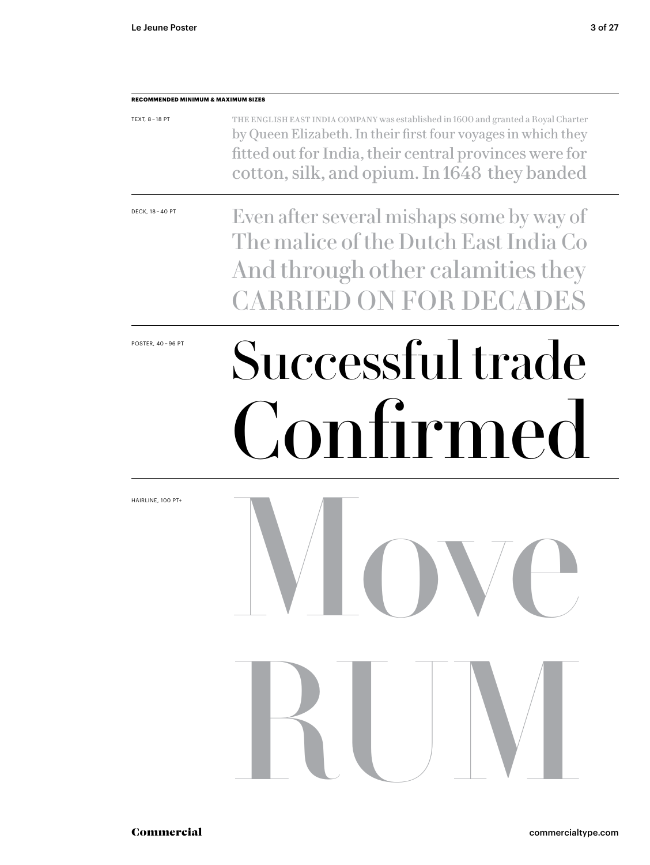**RECOMMENDED MINIMUM & MAXIMUM SIZES**

### POSTER, 40-96 PT Successful trade Confirmed Move RUM TEXT, 8 – 18 PT DECK, 18 – 40 PT HAIRLINE, 100 PT+ The English East India Company was established in 1600 and granted a Royal Charter by Queen Elizabeth. In their first four voyages in which they fitted out for India, their central provinces were for cotton, silk, and opium. In 1648 they banded Even after several mishaps some by way of The malice of the Dutch East India Co And through other calamities they CARRIED ON FOR DECADES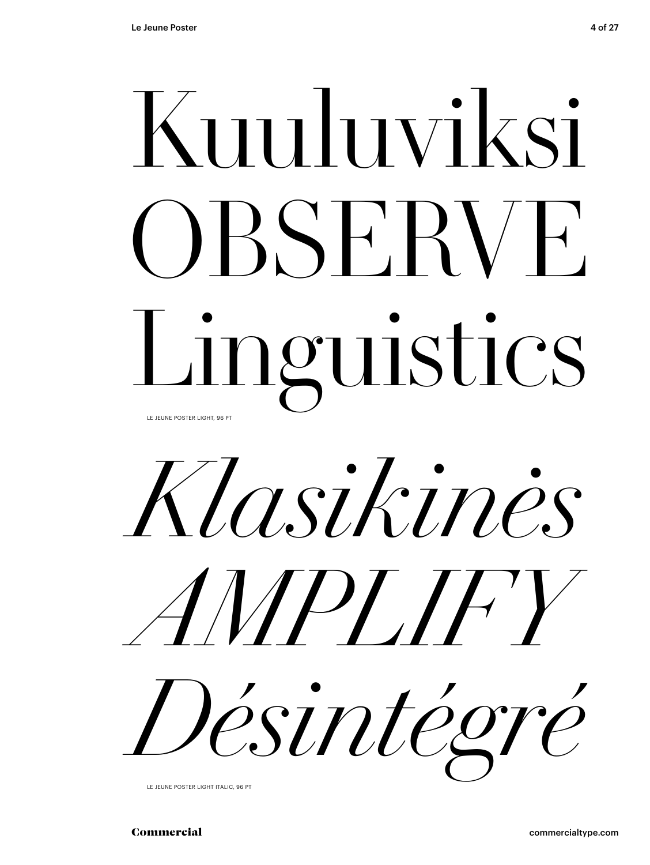# Kuuluviksi OBSERVE Linguistics LE JEUNE POSTER LIGHT, 96 PT



LE JEUNE POSTER LIGHT ITALIC, 96 PT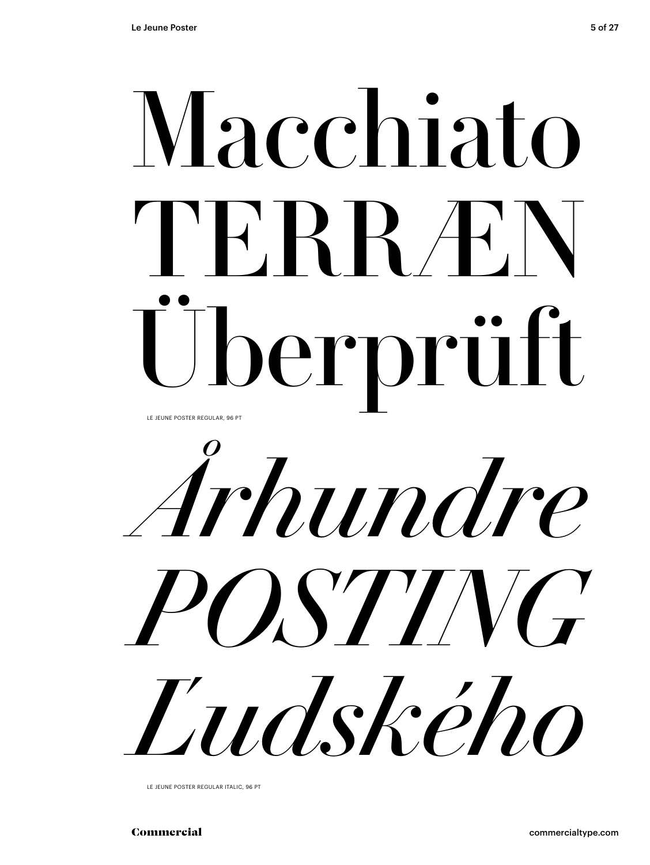

*Århundre POSTING Ľudského*

LE JEUNE POSTER REGULAR ITALIC, 96 PT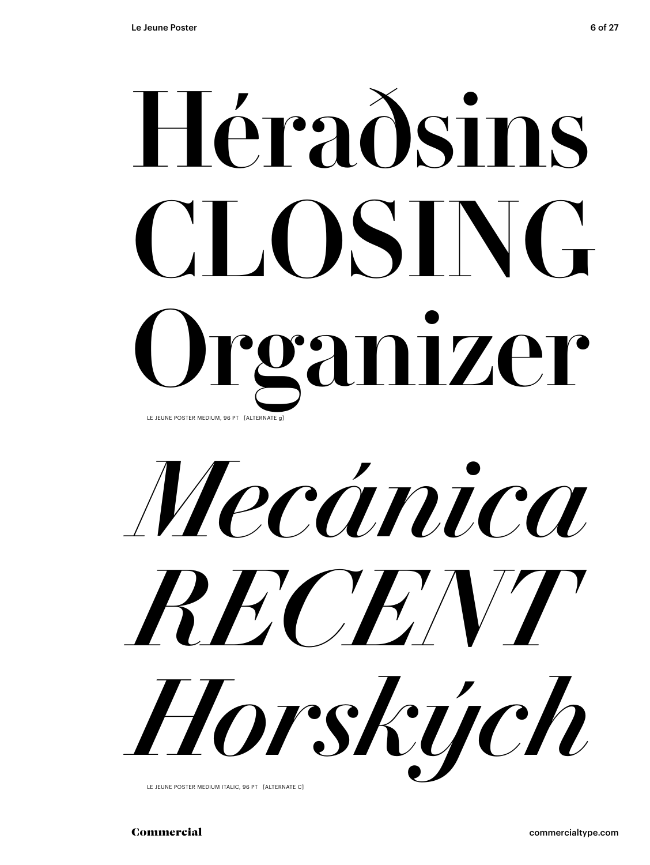# Héraðsins CLOSING Organizer LE JEUNE POSTER MEDIUM, 96 PT [ALTERNATE g]

*Mecánica RECENT Horských*

LE JEUNE POSTER MEDIUM ITALIC, 96 PT [ALTERNATE C]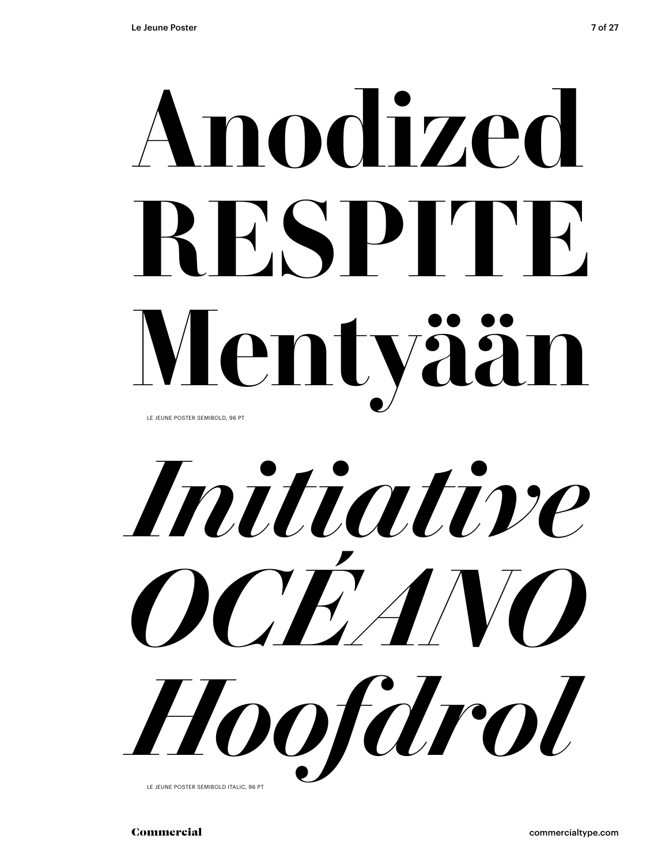## **Anodized RESPITE Mentyään** LE JEUNE POSTER SEMIBOLD, 96 PT

*Initiative OCÉANO Hoofdrol*

LE JEUNE POSTER SEMIBOLD ITALIC, 96 PT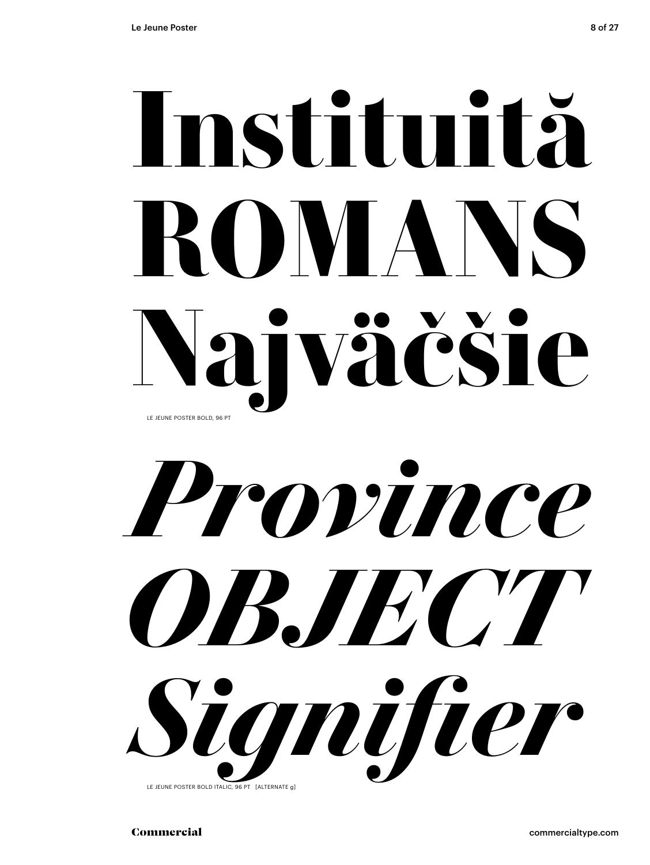## **Instituită ROMANS Najväčšie** LE JEUNE POSTER BOLD, 96 PT

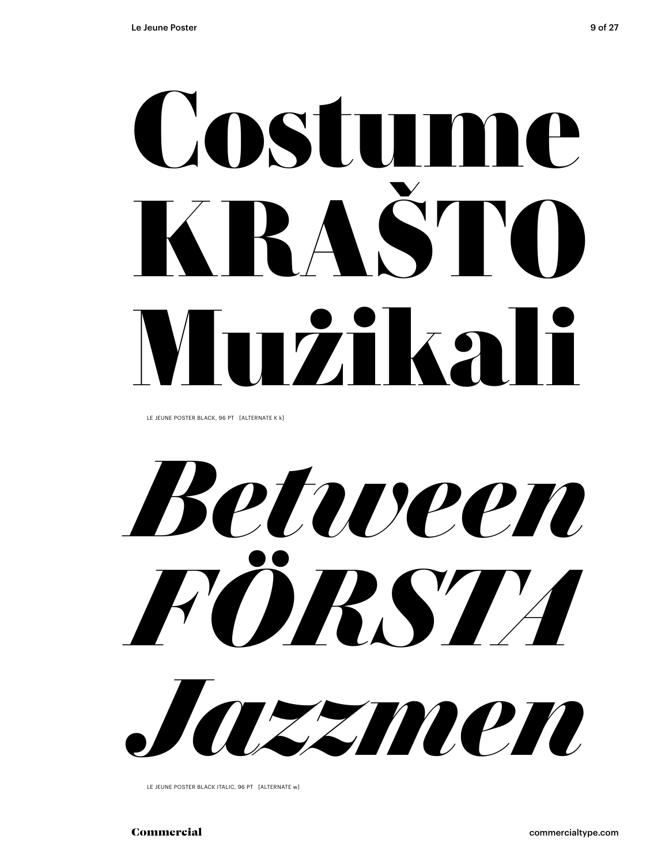# Costume KRAŠTO Mużikali

LE JEUNE POSTER BLACK, 96 PT [ALTERNATE K k]

*Between FÖRSTA Jazzmen*

LE JEUNE POSTER BLACK ITALIC, 96 PT [ALTERNATE w]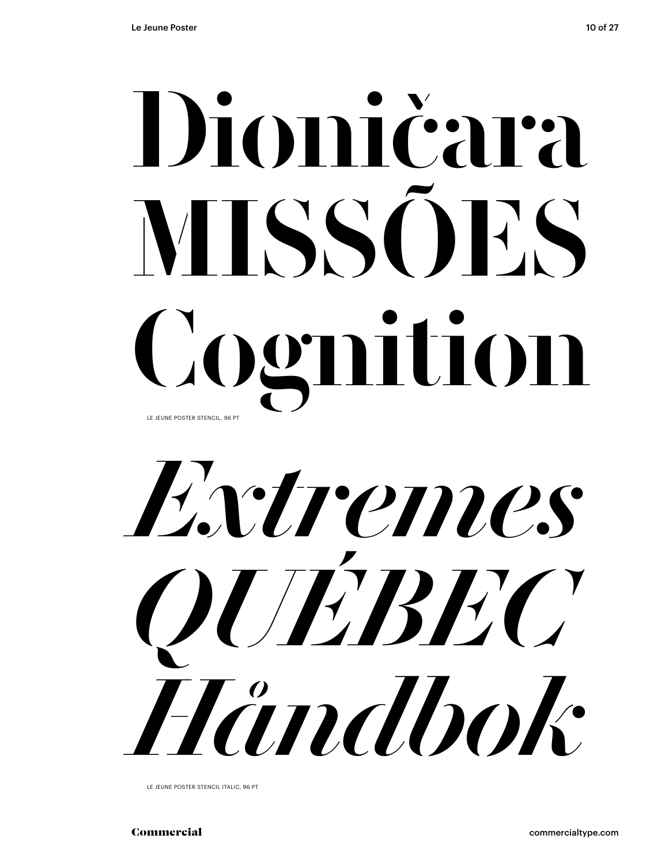# Dioničara MISSÕES Cognition LE JEUNE POSTER STENCIL, 96 PT

*Extremes QUÉBEC Håndbok*

LE JEUNE POSTER STENCIL ITALIC, 96 PT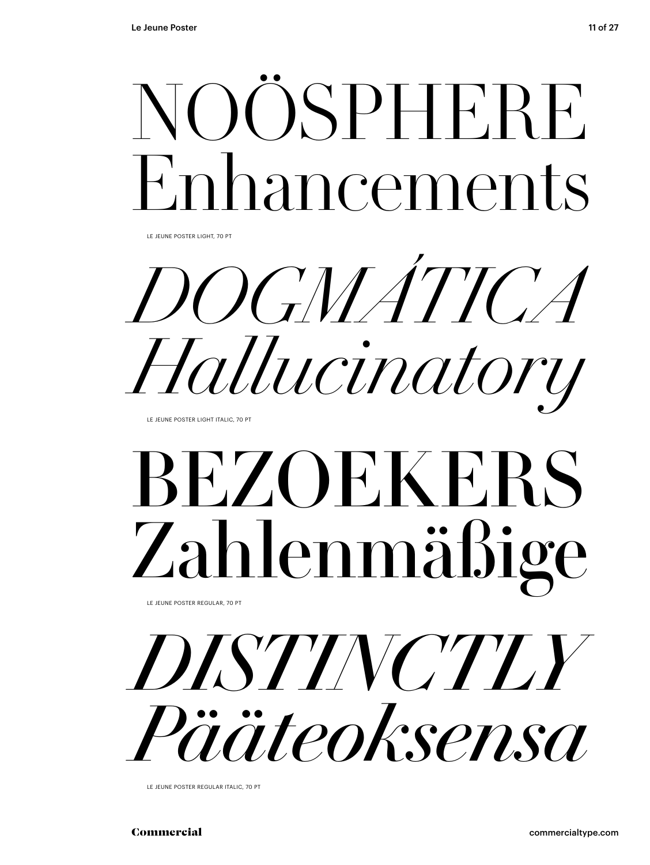

LE JEUNE POSTER LIGHT, 70 PT

*DOGMÁTICA Hallucinatory*

LE JEUNE POSTER LIGHT ITALIC, 70 PT

## BEZOEKERS Zahlenmäßige

LE JEUNE POSTER REGULAR, 70 PT



LE JEUNE POSTER REGULAR ITALIC, 70 PT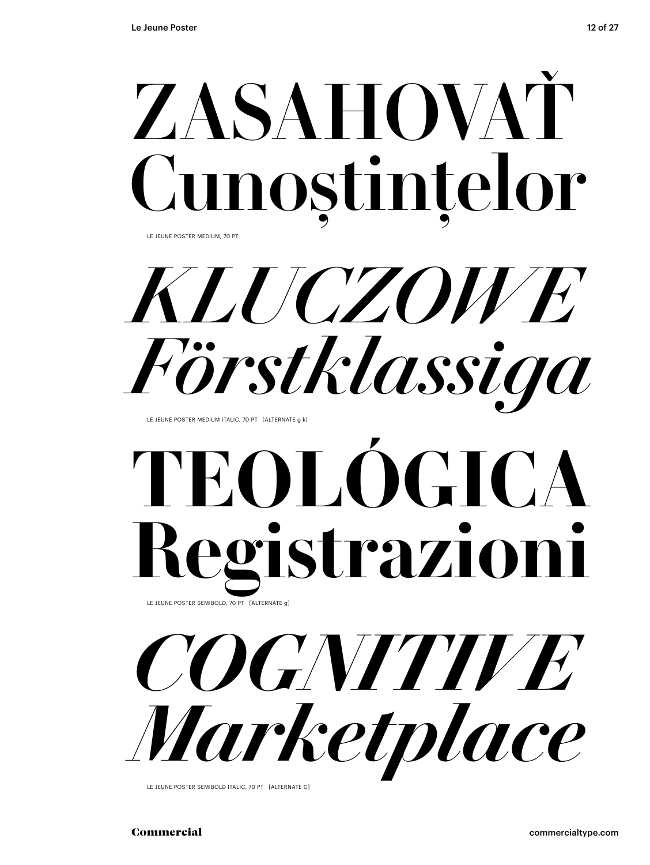

LE JEUNE POSTER MEDIUM, 70 PT

*KLUCZOWE Förstklassiga*

LE JEUNE POSTER MEDIUM ITALIC, 70 PT [ALTERNATE g k]

## **TEOLOGICA Registrazioni** LE JEUNE POSTER SEMIBOLD, 70 PT [ALTERNATE g]

*Marketplace*



LE JEUNE POSTER SEMIBOLD ITALIC, 70 PT [ALTERNATE C]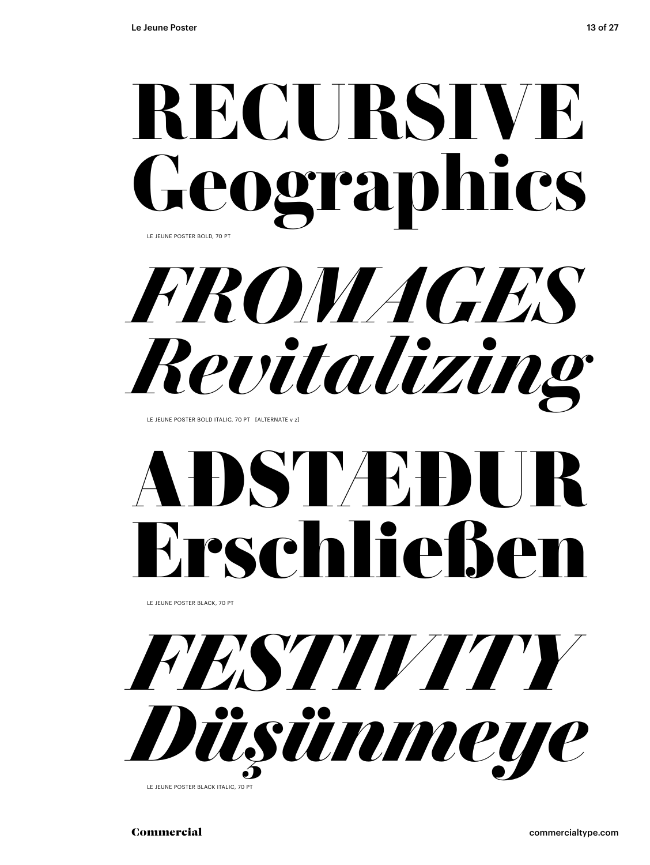*FROMAGES Revitalizing*

LE JEUNE POSTER BOLD ITALIC, 70 PT [ALTERNATE v z]

## **ASTVE**H Erschließen

LE JEUNE POSTER BLACK, 70 PT



LE JEUNE POSTER BLACK ITALIC, 70 PT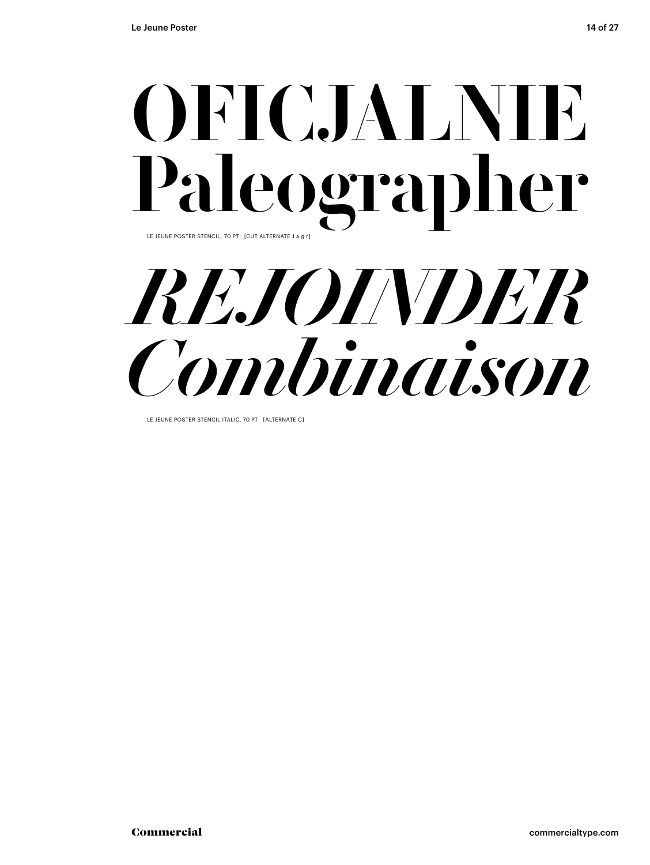## OFICJALNIE Paleographer LE JEUNE POSTER STENCIL, 70 PT [CUT ALTERNATE J a g r]



LE JEUNE POSTER STENCIL ITALIC, 70 PT [ALTERNATE C]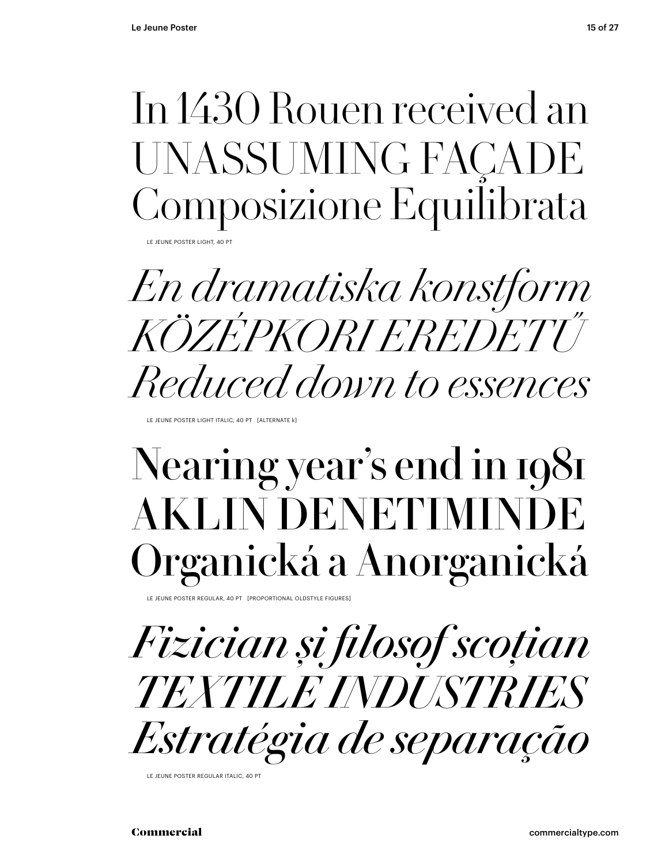## In 1430 Rouen received an UNASSUMING FAÇADE Composizione Equilibrata

LE JEUNE POSTER LIGHT, 40 PT

*En dramatiska konstform KÖZÉPKORI EREDETŰ Reduced down to essences*

LE JEUNE POSTER LIGHT ITALIC, 40 PT [ALTERNATE k]

## Nearing year's end in 1981 **AKLIN DENETIMI** Organická a Anorganická

LE JEUNE POSTER REGULAR, 40 PT [PROPORTIONAL OLDSTYLE FIGURES

*Fizician și filosof scoțian TEXTILE INDUSTRIES Estratégia de separação*

LE JEUNE POSTER REGULAR ITALIC, 40 PT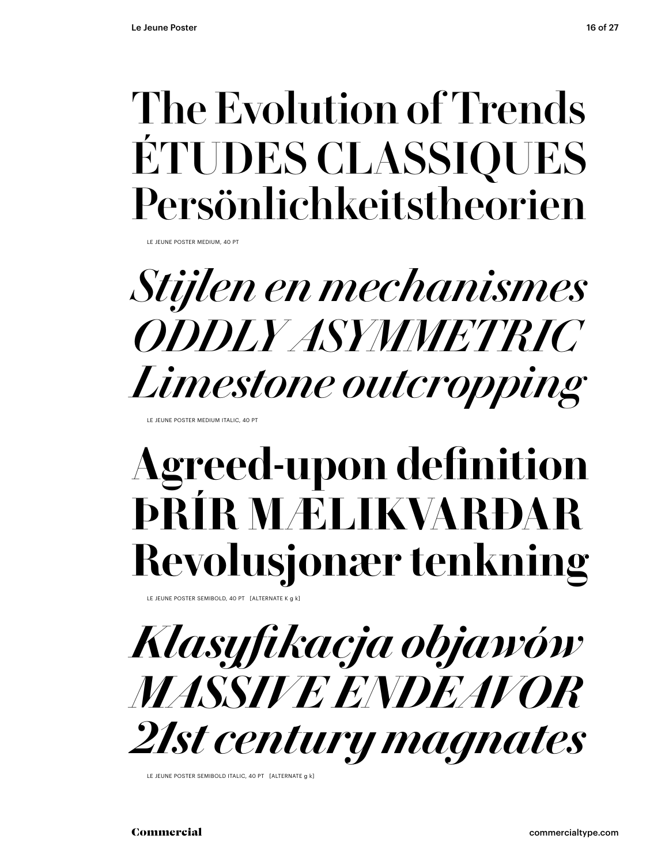### The Evolution of Trends ÉTUDES CLASSIQUES Persönlichkeitstheorien

LE JEUNE POSTER MEDIUM, 40 PT

## *Stijlen en mechanismes ODDLY ASYMMETRIC Limestone outcropping*

LE JEUNE POSTER MEDIUM ITALIC, 40 PT

## **Agreed-upon definition ÞRÍR MÆLIKVARÐAR Revolusjonær tenkning**

LE JEUNE POSTER SEMIBOLD, 40 PT [ALTERNATE K a k]

*Klasyfikacja objawów MASSIVE ENDEAVOR 21st century magnates*

LE JEUNE POSTER SEMIBOLD ITALIC, 40 PT [ALTERNATE g k]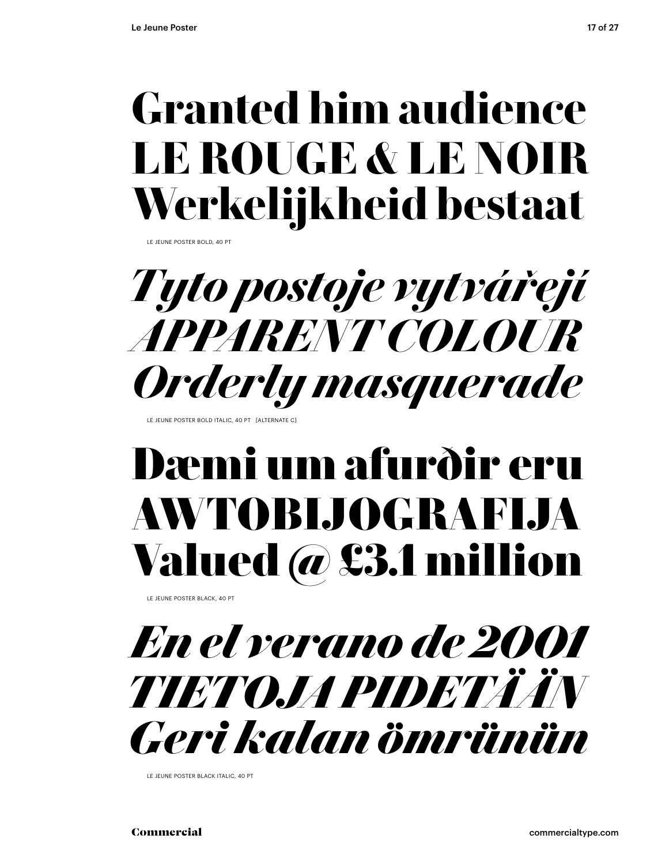## **Granted him audience LE ROUGE & LE NOIR Werkelijkheid bestaat**

LE JEUNE POSTER BOLD, 40 PT



LE JEUNE POSTER BOLD ITALIC, 40 PT [ALTERNATE C

### Dæmi um afurðir eru AWTOBIJOGRAFIJA Valued @ £3.1 million

LE JEUNE POSTER BLACK, 40 PT



LE JEUNE POSTER BLACK ITALIC, 40 PT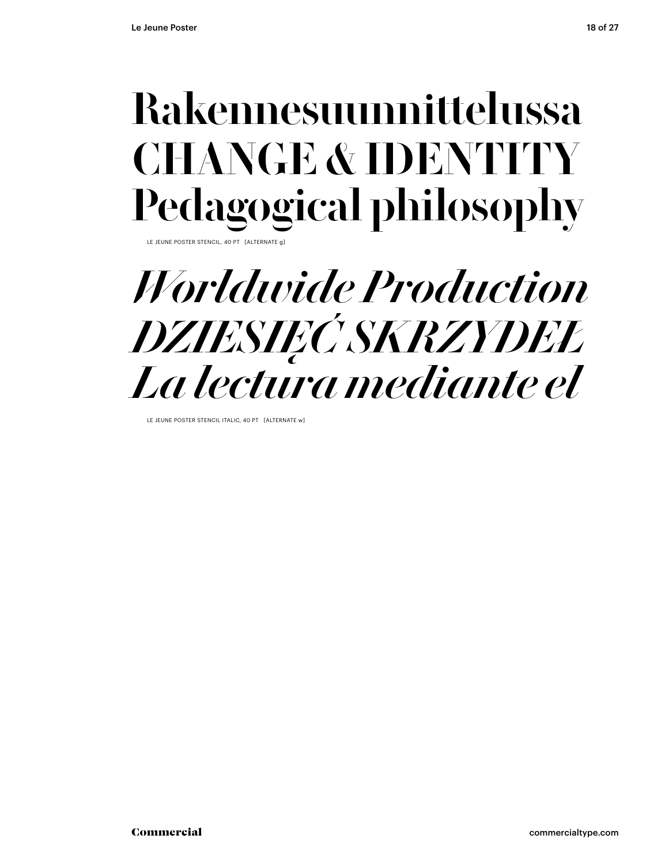## Rakennesuunnittelussa CHANGE & IDENTITY Pedagogical philosophy

LE JEUNE POSTER STENCIL, 40 PT [ALTERNATE g]

### *Worldwide Production DZIESIĘĆ SKRZYDEŁ La lectura mediante el*

LE JEUNE POSTER STENCIL ITALIC, 40 PT [ALTERNATE w]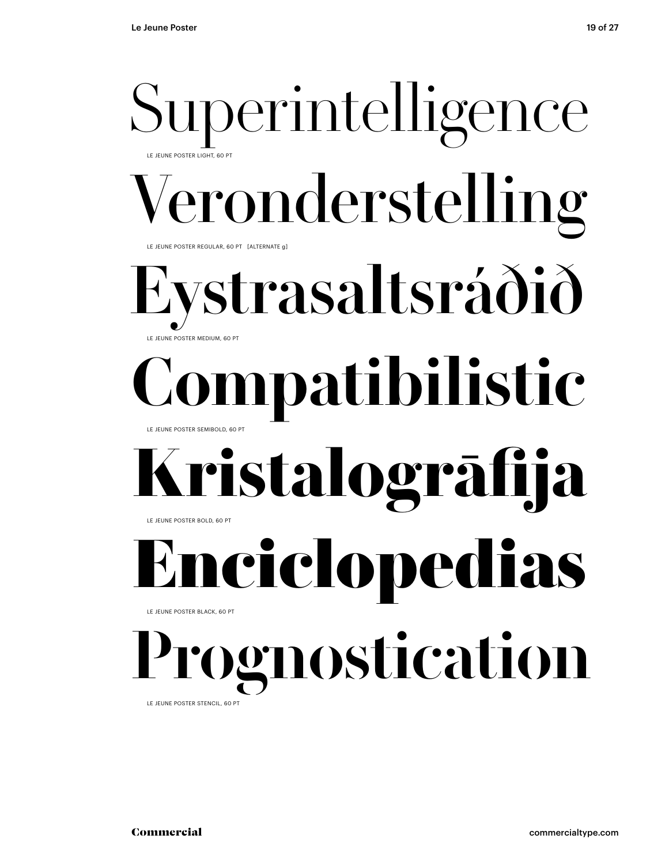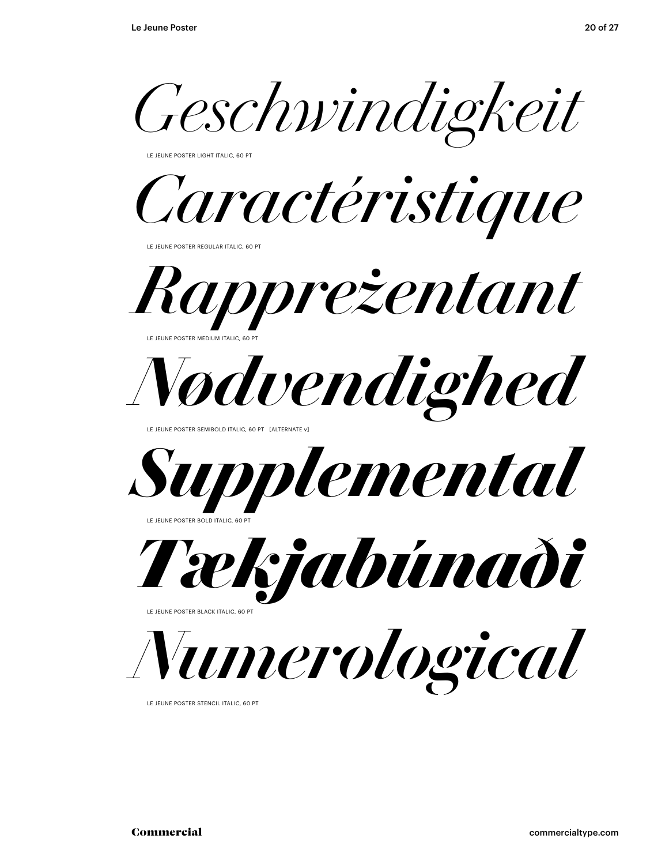*Geschwindigkeit*

LE JEUNE POSTER LIGHT ITALIC, 60 PT

*Caractéristique*

LE JEUNE POSTER REGULAR ITALIC, 60 PT



LE JEUNE POSTER MEDIUM ITALIC, 60 PT



LE JEUNE POSTER SEMIBOLD ITALIC, 60 PT [ALTERNATE v]



LE JEUNE POSTER BOLD ITALIC, 60 PT



LE JEUNE POSTER BLACK ITALIC, 60 PT

*Numerological*

LE JEUNE POSTER STENCIL ITALIC, 60 PT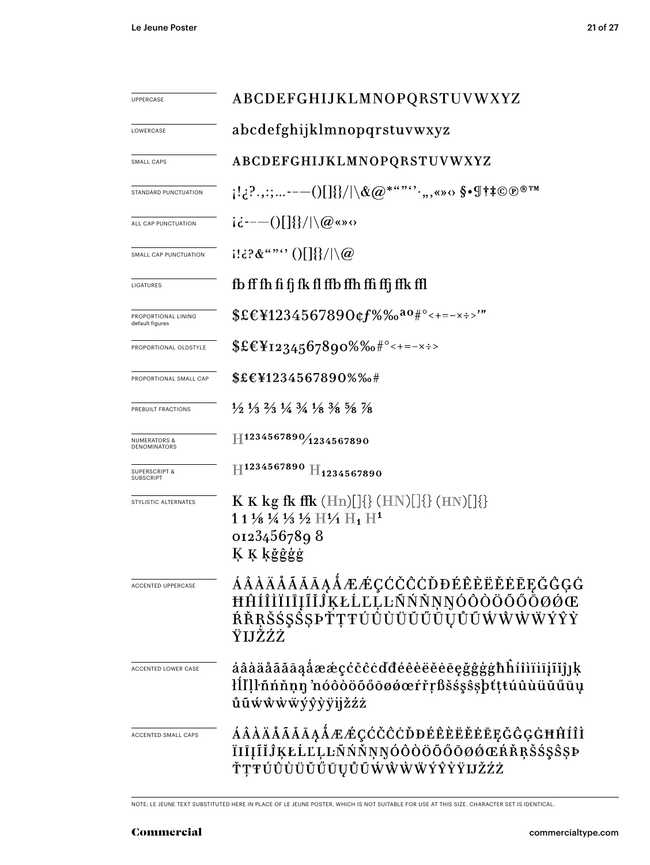| <b>UPPERCASE</b>                        | ABCDEFGHIJKLMNOPQRSTUVWXYZ                                                                                                                                                                                   |  |
|-----------------------------------------|--------------------------------------------------------------------------------------------------------------------------------------------------------------------------------------------------------------|--|
| LOWERCASE                               | abcdefghijklmnopqrstuvwxyz                                                                                                                                                                                   |  |
| SMALL CAPS                              | ABCDEFGHIJKLMNOPQRSTUVWXYZ                                                                                                                                                                                   |  |
| STANDARD PUNCTUATION                    | $\{S_{\alpha}^{1},S_{\beta}^{2},\ldots\}\}=\{0\}$ ( ) $\{1\}\{1\}\setminus\mathcal{R}$ ( $Q^{*a\cdots a\cdots a},$ , , , , , , , , , , $\delta$ , $\P$ † $\ddagger$ $\odot$ $\odot$ $\circ$ $\mathbb{T}^{M}$ |  |
| ALL CAP PUNCTUATION                     | $i\dot{\epsilon}$ ---()[]{}/ \@«»0                                                                                                                                                                           |  |
| SMALL CAP PUNCTUATION                   | $1!\,\mathrm{d}?\&``\text{``}\text{''}\cup\left[\left[\left.\right]\right]\right]\setminus\left[\left.\right]\right]$                                                                                        |  |
| LIGATURES                               | fb ff fh fi fj fk fl ffb ffh ffi ffj ffk ffl                                                                                                                                                                 |  |
| PROPORTIONAL LINING<br>default figures  | $EEY1234567890$ cf%‰ <sup>ao#°</sup> <+=-x÷>'"                                                                                                                                                               |  |
| PROPORTIONAL OLDSTYLE                   | $EE_{1234567890\%6*^{\circ}<+=-x\div}$                                                                                                                                                                       |  |
| PROPORTIONAL SMALL CAP                  | \$£€¥1234567890%%#                                                                                                                                                                                           |  |
| PREBUILT FRACTIONS                      | $\frac{1}{2}$ $\frac{1}{3}$ $\frac{2}{3}$ $\frac{1}{4}$ $\frac{3}{4}$ $\frac{1}{8}$ $\frac{3}{8}$ $\frac{5}{8}$ $\frac{7}{8}$                                                                                |  |
| <b>NUMERATORS &amp;</b><br>DENOMINATORS | H1234567890/1234567890                                                                                                                                                                                       |  |
| <b>SUPERSCRIPT &amp;</b><br>SUBSCRIPT   | $\rm{H}^{1234567890}$ $\rm{H}_{1234567890}$                                                                                                                                                                  |  |
| STYLISTIC ALTERNATES                    | <b>K K</b> kg fk ffk $(Hn)[]\{\}$ $(HN)[]\{\}$ $(HN)[]\{\}$<br>1 1 1/8 1/4 1/3 1/2 $\rm{H1_1 H1^1}$<br>01234567898<br>Ķ Ķ ķğĝģģ                                                                              |  |
| <b>ACCENTED UPPERCASE</b>               | <b>ÁÂÀĂÅÃĂĀĄÅÆÆÇĆČĈĊĎĐÉÊÈËĔĒĘĞĜĢĠ</b><br>ĦĤÍÎÌÏĪĪĪĨĬĴĶŁĹĽĻĿÑŇŇŅŅÓÔŎŎŐŌØØŒ<br>ŔŘŖŠŚŞŠŞÞŤŢŦÚÛÙÜŬŰŨŲŮŨŴŴŴŸŶŶ<br>ŸIJŽŹŻ                                                                                          |  |
| ACCENTED LOWER CASE                     | áâàäåãăāąåææçćčĉċďđéêèëěēegğĝģġħĥíîìïiījĩĭĵık<br>łĺľļŀñńňṇŋ nóôòöőőōøǿœŕřŗßšśşŝşþťţŧúûùüŭűūų<br>ůũẃŵẁẅýŷỳÿijžźż                                                                                              |  |
| ACCENTED SMALL CAPS                     | ÁÂÀÄÅÃĂĀĄÅÆÆÇĆČĈĊĎĐÉÊÈËĔĒĘĞĜĢĠĦĤÍÎÌ<br>ÏIĪĮĨĬĴĶŁĹĽĻĿÑŃŇŅŊÓÔÒÖŐŐŌØØŒŔŘŖŠ\$\$\$ŞÞ<br>ŤŢŦÚŨÙÜŬŬŰŪŲŮŨŴŴŴŴÝŶŶŸIJŽŹŻ                                                                                               |  |

NOTE: LE JEUNE TEXT SUBSTITUTED HERE IN PLACE OF LE JEUNE POSTER, WHICH IS NOT SUITABLE FOR USE AT THIS SIZE. CHARACTER SET IS IDENTICAL.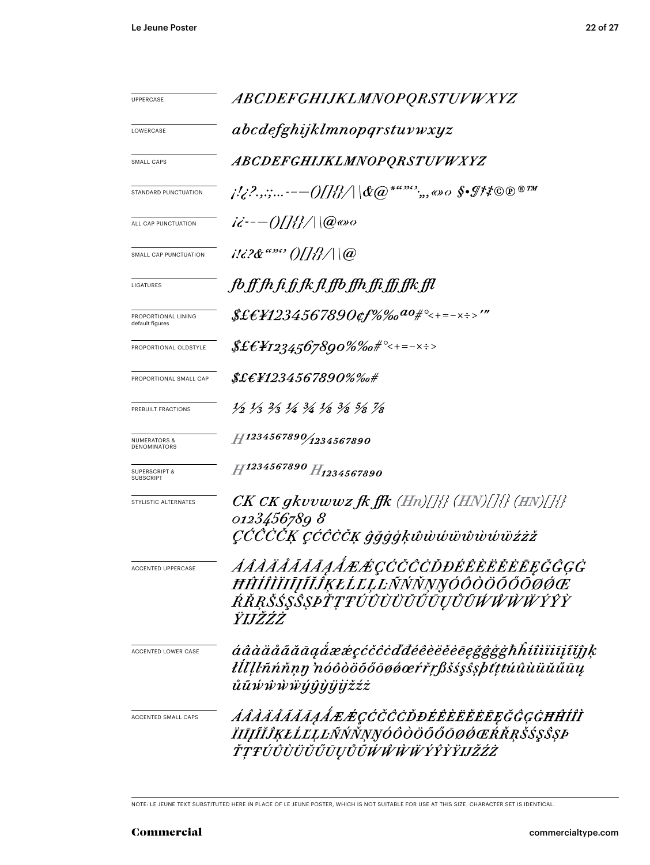| <b>UPPERCASE</b>                             | <i>ABCDEFGHIJKLMNOPQRSTUVWXYZ</i>                                                                                             |  |  |
|----------------------------------------------|-------------------------------------------------------------------------------------------------------------------------------|--|--|
| LOWERCASE                                    | abcdefghijklmnopqrstuvwxyz                                                                                                    |  |  |
| SMALL CAPS                                   | ABCDEFGHIJKLMNOPQRSTUVWXYZ                                                                                                    |  |  |
| STANDARD PUNCTUATION                         |                                                                                                                               |  |  |
| ALL CAP PUNCTUATION                          | $i\ddot{\epsilon}$ - $-$ ()[]{{}/ \@@so                                                                                       |  |  |
| SMALL CAP PUNCTUATION                        | $i!i$ ?& "" ()[]{}/ \@                                                                                                        |  |  |
| LIGATURES                                    | fb ff fh fi fj fk fl ffb ffh ffi ffj ffk ffl                                                                                  |  |  |
| PROPORTIONAL LINING<br>default figures       |                                                                                                                               |  |  |
| PROPORTIONAL OLDSTYLE                        | $\text{\textit{SE}}\text{\textit{E}}\text{\textit{H}}\text{\textit{12}}34.567890\% \%$ o# $^{\circ}<$ +=- $\times$ ÷>         |  |  |
| PROPORTIONAL SMALL CAP                       | $\pounds\pounds\pounds\pounds\pH234567890\% \%$ o#                                                                            |  |  |
| PREBUILT FRACTIONS                           | $\frac{1}{2}$ $\frac{1}{3}$ $\frac{2}{3}$ $\frac{1}{4}$ $\frac{3}{4}$ $\frac{1}{8}$ $\frac{3}{8}$ $\frac{5}{8}$ $\frac{7}{8}$ |  |  |
| <b>NUMERATORS &amp;</b><br>DENOMINATORS      | $H^{1234567890}/_{1234567890}$                                                                                                |  |  |
| <b>SUPERSCRIPT &amp;</b><br><b>SUBSCRIPT</b> | H1234567890 H1234567890                                                                                                       |  |  |
| STYLISTIC ALTERNATES                         | $CK\,CK\,gkvvwwz\,f\!k\,f\!f\!k\,(Hn)/[\frac{1}{2}\,(HN)/[\frac{1}{2}\,(HN)]\frac{1}{2}\}$                                    |  |  |
|                                              | 0123456789 8<br>ÇČČČČĶ çĆĈČČĶ ĝğġģķŵẁŵŵŵŵŵüźżž                                                                                |  |  |
| <b>ACCENTED UPPERCASE</b>                    | <i><i>AAAAAAAAAAÆÆÇĆČČČDĐÉÊÈËËĒĒĘĞĜĢĠ</i></i><br>ĦĤÍÎÌÏIJIJĨĬĴĶŁĹĽĻĿÑŃŇŅŊÓÔŎÖŐŐŌØĆĊ<br>ŔŘŖŠŚŞŜŞÞŤŢŦÚÛÙÜŬŰŨŲŮŨŴŴŴŸŶŶ<br>ŸIJŽŹŻ |  |  |
| ACCENTED LOWER CASE                          | áâàäåããāaaẩææçćčĉċďđéêèëěēegğĝġġħĥíîìïiijĩjjk<br>łĺľĮŀñńňṇŋ 'nóôòöõőōøǿœŕřŗßšśşŝşþtţŧúûùüŭűūų<br>ůũŵŵẁẅýŷỳÿijžźż              |  |  |
| ACCENTED SMALL CAPS                          | <i>ÁÂÀÄÅÃĂĀĄÅÆÆÇĆČĈCDĐÉÊÈËËĔĒĘĞĜĢĠĦĤÍÎÌ</i><br>ÏIJĨĬĴĶŁĹĽĻĿÑŃŇŅŊÓÔÒÖŐŐŌØŔŔŖŠŚŞŜŞÞ<br>ŤŢŦÚÛÙÜŬŰŪŲŮŨŴŴŴŴÝŶŶŸIJŽŹŻ               |  |  |

NOTE: LE JEUNE TEXT SUBSTITUTED HERE IN PLACE OF LE JEUNE POSTER, WHICH IS NOT SUITABLE FOR USE AT THIS SIZE. CHARACTER SET IS IDENTICAL.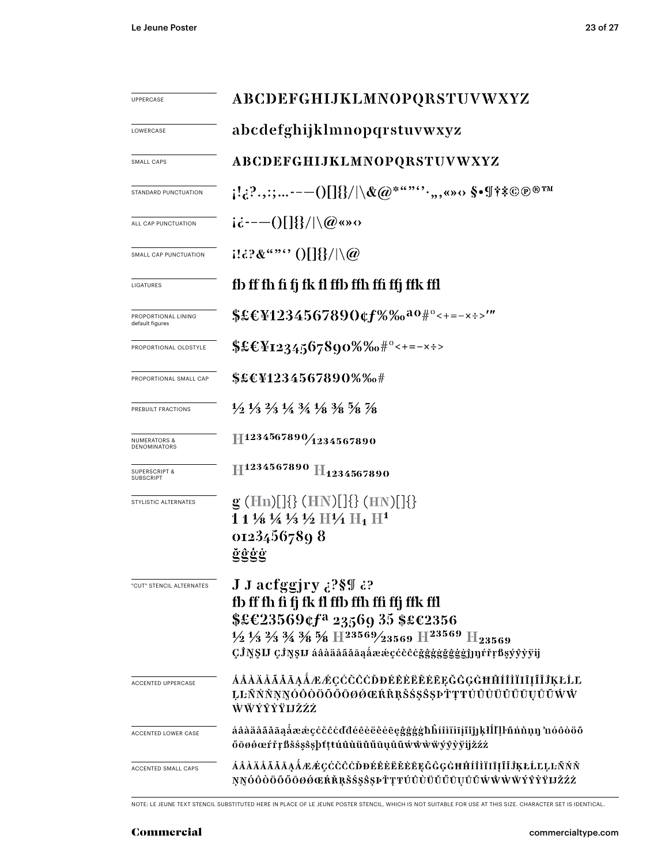| UPPERCASE                                    | ABCDEFGHIJKLMNOPQRSTUVWXYZ                                                                                                                                                                                                                                                                                                                 |  |  |
|----------------------------------------------|--------------------------------------------------------------------------------------------------------------------------------------------------------------------------------------------------------------------------------------------------------------------------------------------------------------------------------------------|--|--|
| LOWERCASE                                    | abcdefghijklmnopqrstuvwxyz                                                                                                                                                                                                                                                                                                                 |  |  |
| SMALL CAPS                                   | ABCDEFGHIJKLMNOPQRSTUVWXYZ                                                                                                                                                                                                                                                                                                                 |  |  |
| STANDARD PUNCTUATION                         | $\{1\}^2,\ldots\cdots\{1\}^2\}\cup\{\{\infty^{\ast\alpha\cdots\alpha\cdots},\infty\}\times\{\infty^{\ast\ast}\otimes\oplus\otimes\mathbb{Z}\}$                                                                                                                                                                                             |  |  |
| ALL CAP PUNCTUATION                          | $i\dot{\alpha}$ ---()[]{}/ \@«»0                                                                                                                                                                                                                                                                                                           |  |  |
| SMALL CAP PUNCTUATION                        | $1132\&$ "" $0$ $\frac{113}{100}$                                                                                                                                                                                                                                                                                                          |  |  |
| LIGATURES                                    | fb ff fh fi fj fk fl ffb ffh ffi ffj ffk ffl                                                                                                                                                                                                                                                                                               |  |  |
| PROPORTIONAL LINING<br>default figures       | \$£€¥1234567890¢f%‰ <sup>ao#°</sup> <+=-×÷>'"                                                                                                                                                                                                                                                                                              |  |  |
| PROPORTIONAL OLDSTYLE                        |                                                                                                                                                                                                                                                                                                                                            |  |  |
| PROPORTIONAL SMALL CAP                       | \$£€¥1234567890%‰#                                                                                                                                                                                                                                                                                                                         |  |  |
| PREBUILT FRACTIONS                           | $\frac{1}{2}$ $\frac{1}{3}$ $\frac{1}{3}$ $\frac{1}{4}$ $\frac{3}{4}$ $\frac{1}{8}$ $\frac{3}{8}$ $\frac{5}{8}$ $\frac{7}{8}$                                                                                                                                                                                                              |  |  |
| NUMERATORS &<br>DENOMINATORS                 | H1234567890/1234567890                                                                                                                                                                                                                                                                                                                     |  |  |
| <b>SUPERSCRIPT &amp;</b><br><b>SUBSCRIPT</b> | H <sub>1234567890</sub> H <sub>1234567890</sub>                                                                                                                                                                                                                                                                                            |  |  |
| STYLISTIC ALTERNATES                         | $g$ (Hn)[]{} (HN)[]{} (HN)[]{}<br>$11\frac{1}{8}\frac{1}{4}\frac{1}{3}\frac{1}{2}$ H $\frac{1}{4}$ H <sub>1</sub> H <sup>1</sup><br>01234567898<br>ğĝģġ                                                                                                                                                                                    |  |  |
| "CUT" STENCIL ALTERNATES                     | J J acfggjry ¿?§¶ ¿?<br>fb ff fh fi fj fk fl ffb ffh ffi ffj ffk ffl<br>$$£C23569$ cf <sup>a</sup> 23569 35 \$£c2356<br>$\frac{1}{2}$ $\frac{1}{3}$ $\frac{2}{3}$ $\frac{3}{4}$ $\frac{3}{8}$ $\frac{5}{8}$ H $\frac{23569}{23569}$ H $\frac{23569}{123569}$ H <sub>23569</sub><br>ÇĴŊŞIJ ÇĴŊŞIJ áâàäåããāąåææçćčĉċğggggggggj]]]rrrßşýyyyij |  |  |
| ACCENTED UPPERCASE                           | ÁÂÀÄÅÃĂĀĄÅÆÆÇĆČČŎĐÉÊÈËĔĔEĘĞĜĢĠĦĤÍÌÌĪIĪĨĬĴĶŁĹĽ<br>ĻĿÑŃŇŅŊÓÒŎÖŐŐŌØØŒŔŘŖŠŚŞŜŞÞŤŢŦŬŨÙŬŬŰŪŲŮŨŴŴ<br>ŴŴÝŶŶŸIJŽŹŹ                                                                                                                                                                                                                                  |  |  |
| ACCENTED LOWER CASE                          | áâàäåãăāąåææçćčĉċďđéêèëĕēęğĝģġħĥíîìïiījĩjĵ]ķłĺľļŀñńňņŋ 'nóôòöõ<br>őōøøœŕřŗßšśşŝşþtţtúûùüŭűūụůũẃŵẁẅÿŷỳÿijžźż                                                                                                                                                                                                                                |  |  |
| ACCENTED SMALL CAPS                          | ÁÂÀÄÄÄÄÄĄÅÆÆÇĆČĈĊĎĐÉÊÈËĚĖĒĘĞĜĢĠĦĤÍÎÌĨIĪĮĨĬĴĶŁĹĽĻĿÑŃŇ<br>ŅŊÓÒÒÖŐŐŌØŐŒŔŘŖŠŚŞŜŞÞŤŢŦÚÛÙÜŬŰŨŲŮŨŴŴŴŸŶŶŸIJŽŹŻ                                                                                                                                                                                                                                     |  |  |

NOTE: LE JEUNE TEXT STENCIL SUBSTITUTED HERE IN PLACE OF LE JEUNE POSTER STENCIL, WHICH IS NOT SUITABLE FOR USE AT THIS SIZE. CHARACTER SET IS IDENTICAL.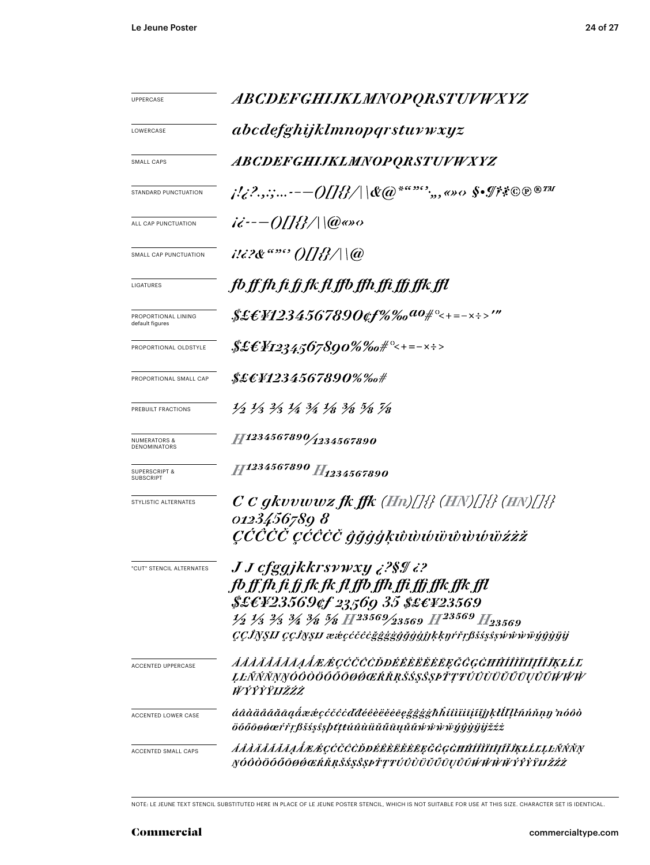| UPPERCASE                                    | ABCDEFGHIJKLMNOPQRSTUVWXYZ                                                                                                                                                                                                                                                                                                       |  |  |
|----------------------------------------------|----------------------------------------------------------------------------------------------------------------------------------------------------------------------------------------------------------------------------------------------------------------------------------------------------------------------------------|--|--|
| LOWERCASE                                    | abcdefghijklmnopqrstuvwxyz                                                                                                                                                                                                                                                                                                       |  |  |
| <b>SMALL CAPS</b>                            | <i>ABCDEFGHIJKLMNOPQRSTUVWXYZ</i>                                                                                                                                                                                                                                                                                                |  |  |
| STANDARD PUNCTUATION                         | j!¿?.,:;-— $O\!I\!I\!B\!/\! \&\!\!\bar{\omega}^{*a\!,\!m\!s\!s\!s\!},$ ,, <>> $\circ$ \$•I?*©®®™                                                                                                                                                                                                                                 |  |  |
| ALL CAP PUNCTUATION                          | $i\dot{\epsilon}$ - - - ()[]{}/ \(@@so                                                                                                                                                                                                                                                                                           |  |  |
| SMALL CAP PUNCTUATION                        |                                                                                                                                                                                                                                                                                                                                  |  |  |
| LIGATURES                                    | fb ff fh fi fj fk fl ffb ffh ffi ffj ffk ffl                                                                                                                                                                                                                                                                                     |  |  |
| PROPORTIONAL LINING<br>default figures       | \$£EF1234567890¢f%‰ <sup>ao</sup> #°<+=-×÷>'"                                                                                                                                                                                                                                                                                    |  |  |
| PROPORTIONAL OLDSTYLE                        | $$£EY$ 1234,567890%%o#°<+=-x÷>                                                                                                                                                                                                                                                                                                   |  |  |
| PROPORTIONAL SMALL CAP                       | \$£E¥1234567890%‰#                                                                                                                                                                                                                                                                                                               |  |  |
| PREBUILT FRACTIONS                           | $\frac{1}{2}$ $\frac{1}{3}$ $\frac{2}{3}$ $\frac{1}{4}$ $\frac{3}{4}$ $\frac{1}{8}$ $\frac{3}{8}$ $\frac{5}{8}$ $\frac{7}{8}$                                                                                                                                                                                                    |  |  |
| <b>NUMERATORS &amp;</b><br>DENOMINATORS      | 11234567890/1234567890                                                                                                                                                                                                                                                                                                           |  |  |
| <b>SUPERSCRIPT &amp;</b><br><b>SUBSCRIPT</b> | H1234567890 H <sub>1234567890</sub>                                                                                                                                                                                                                                                                                              |  |  |
| STYLISTIC ALTERNATES                         | $C$ C gkvvwwz fk ffk (Hn)[]{} (HN)[]{} (HN)[]{}<br>0123456789 8<br><i>CĆĆĊĊ cĆĈĊČ ĝğġģķŵŵŵŵŵŵŵŵżżž</i>                                                                                                                                                                                                                           |  |  |
| "CUT" STENCIL ALTERNATES                     | <i>J J cfggjkkrsywxy ¿?§¶ ¿?</i><br>fb ff fh fi fj fk fk fl ffb ffh ffi ffj ffk ffk ffl<br>\$£EF23569¢f 23569 35 \$£EF23569<br>$\frac{1}{2}$ $\frac{1}{3}$ $\frac{2}{3}$ $\frac{3}{4}$ $\frac{3}{8}$ $\frac{5}{8}$ $H^{23569/23569}$ $H^{23569}$ $H_{23569}$<br><i>CCĴNSIJ CCĴNSIJ ææcćčĉčğggggggjajrkknŕřrβšss§swŵŵŵwjŷŷyjj</i> |  |  |
| <b>ACCENTED UPPERCASE</b>                    | <i>AAAAAAAAAAEÉÇĆČČČDĐÉÊÈËËĔĒĘĞĜGĠĦĤÍÎĨĨĪĪĨĬĨĶŁĹĽ</i><br>ĻĿÑŃŇŅŊÓŎŎŎŐŌŌØŔŔŔŔŠŚŞŜȘÞŤŢŦŬŨÙŬŬŰŪŲŮŨŴŴŴ<br><b>WÝŶŶŸIJŽŹŻ</b>                                                                                                                                                                                                          |  |  |
| <b>ACCENTED LOWER CASE</b>                   | áâàäåããāaaåææçćčĉċďđéêèëĕēegğġġħĥíîìïiijĩjjkłĺľĮŀñńňṇŋ nóôò<br>öőőōøøœŕřŗßšśşŝşþttŧúûùüŭűūųůũŵŵẁŸýŷŷijijžźż                                                                                                                                                                                                                      |  |  |
| ACCENTED SMALL CAPS                          | <i>ĂÂÀÄÅÃĂĀĄÅÆŔÇĆČĈĊĎĐÉÊÈĔĔĔĘĞĜĢĠĦĤÍÎÌÏIJĨĬĴĶŁĹĽĻĿÑŃŇŅ</i><br>ŊÓÔÒÖŐŐŌØØŒŔŘŖŠŚŞŜŞÞŤŢŦÚÛÙÜŬŰŪŲŮŨŴŴŴŸŶŶŶŸIJŽŹŻ                                                                                                                                                                                                                     |  |  |

NOTE: LE JEUNE TEXT STENCIL SUBSTITUTED HERE IN PLACE OF LE JEUNE POSTER STENCIL, WHICH IS NOT SUITABLE FOR USE AT THIS SIZE. CHARACTER SET IS IDENTICAL.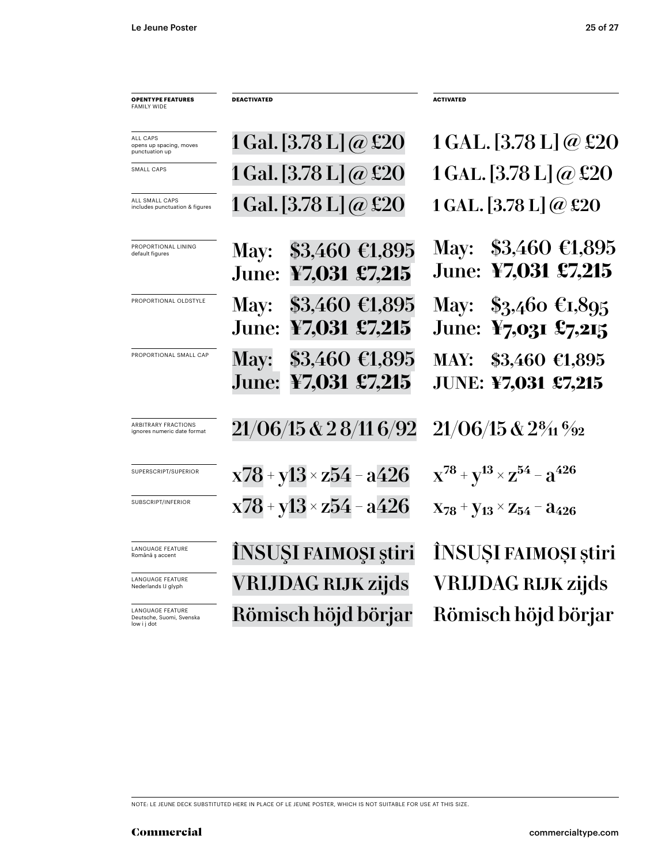| <b>OPENTYPE FEATURES</b><br><b>FAMILY WIDE</b>                     | <b>DEACTIVATED</b>                                                   | <b>ACTIVATED</b>                                                        |
|--------------------------------------------------------------------|----------------------------------------------------------------------|-------------------------------------------------------------------------|
| ALL CAPS<br>opens up spacing, moves<br>punctuation up              | 1 Gal. [3.78 L] $\omega$ £20                                         | 1 GAL. [3.78 L] @ £20                                                   |
| SMALL CAPS                                                         | 1 Gal. [3.78 L] $\omega$ £20                                         | 1 GAL. [3.78 L] @ £20                                                   |
| ALL SMALL CAPS<br>includes punctuation & figures                   | $1$ Gal. $[3.78 \text{ L}]$ $@$ £20                                  | 1 GAL. $[3.78 \text{ L}] @$ £20                                         |
| PROPORTIONAL LINING<br>default figures                             | $$3,460 \; \text{\textsterling}1,895$<br>May:<br>June: ¥7,031 £7,215 | May: $$3,460 \in 1,895$<br>June: ¥7,031 £7,215                          |
| PROPORTIONAL OLDSTYLE                                              | May: \$3,460 €1,895<br>June: ¥7,031 £7,215                           | May: $$3,460 \text{ } \text{\textsterling}1,895$<br>June: ¥7,031 £7,215 |
| PROPORTIONAL SMALL CAP                                             | $$3,460$ €1,895<br><b>May:</b><br>June:<br>¥7,031 £7,215             | MAY: \$3,460 €1,895<br><b>JUNE: ¥7,031 £7,215</b>                       |
| <b>ARBITRARY FRACTIONS</b><br>ignores numeric date format          | 21/06/15 & 2 8/11 6/92                                               | $21/06/15$ & $2\frac{8}{11}\frac{6}{22}$                                |
| SUPERSCRIPT/SUPERIOR                                               | $x78 + y13 \times z54 - a426$                                        | $X^{78} + Y^{13} \times Z^{54} - Z^{426}$                               |
| SUBSCRIPT/INFERIOR                                                 | $x78 + y13 \times z54 - a426$                                        | $X_{78}$ + $Y_{13}$ × $Z_{54}$ – $a_{426}$                              |
| <b>LANGUAGE FEATURE</b><br>Română ș accent                         | ÎNSUȘI FAIMOȘI știri                                                 | ÎNSUȘI FAIMOȘI știri                                                    |
| <b>LANGUAGE FEATURE</b><br>Nederlands IJ glyph                     | <b>VRIJDAG RIJK zijds</b>                                            | <b>VRIJDAG RIJK zijds</b>                                               |
| <b>LANGUAGE FEATURE</b><br>Deutsche, Suomi, Svenska<br>low i j dot | Römisch höjd börjar                                                  | Römisch höjd börjar                                                     |

NOTE: LE JEUNE DECK SUBSTITUTED HERE IN PLACE OF LE JEUNE POSTER, WHICH IS NOT SUITABLE FOR USE AT THIS SIZE.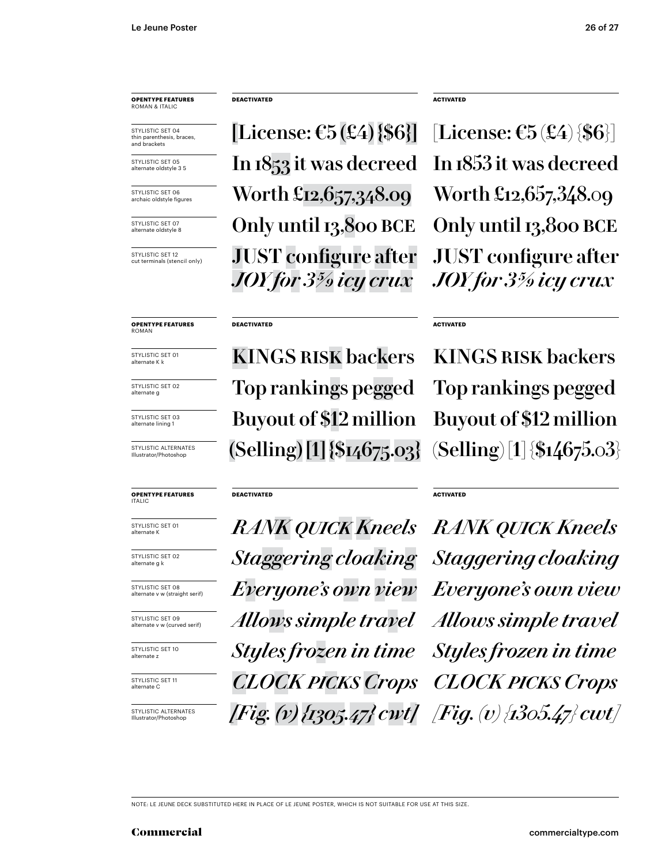STYLISTIC SET 04 thin parenthesis, braces, and brackets

STYLISTIC SET 05 alternate oldstyle 3 5

STYLISTIC SET 06 archaic oldstyle figures

STYLISTIC SFT 07 alternate oldstyle 8

STYLISTIC SET 12 cut terminals (stencil only)

**OPENTYPE FEATURES** ROMAN

STYLISTIC SET 01 alternate K k

STYLISTIC SET 02 alternate g

STYLISTIC SET 03 alternate lining 1

STYLISTIC ALTERNATES Illustrator/Photoshop

### **OPENTYPE FEATURES** ITALIC

STYLISTIC SET 01<br>alternate K

STYLISTIC SET 02 alternate g k

STYLISTIC SET 08 alternate v w (straight serif)

STYLISTIC SET 09 alternate v w (curved serif)

STYLISTIC SET 10 alternate z

STYLISTIC SET 11 alternate C

STYLISTIC ALTERNATES Illustrator/Photoshop

### **DEACTIVATED ACTIVATED**

[License:  $\mathfrak{E}5(\mathfrak{L}4)$  {\$6}] [License:  $\mathfrak{E}5(\mathfrak{L}4)$  {\$6}] In 1853 it was decreed In 1853 it was decreed Only until 13,800 BCE Only until 13,800 BCE Worth £12,657,348.09 Worth £12,657,348.09 JUST configure after *JOY for 3 5/9 icy crux*

### **DEACTIVATED ACTIVATED**

KINGS RISK backers KINGS RISK backers Buyout of \$12 million Buyout of \$12 million Top rankings pegged Top rankings pegged  $(Selling) [1] \$ [14675.03]  $(Selling) [1] \$ [154675.03]

### **DEACTIVATED ACTIVATED**

alternate K *RANK quick Kneels RANK quick Kneels Staggering cloaking Staggering cloaking Everyone's own view Everyone's own view Allows simple travel Allows simple travel Styles frozen in time Styles frozen in time CLOCK picks Crops CLOCK picks Crops [Fig. (v) {1305.47} cwt] [Fig. (v) {1305.47} cwt]*

JUST configure after *JOY for 3 5/9 icy crux*

NOTE: LE JEUNE DECK SUBSTITUTED HERE IN PLACE OF LE JEUNE POSTER, WHICH IS NOT SUITABLE FOR USE AT THIS SIZE.